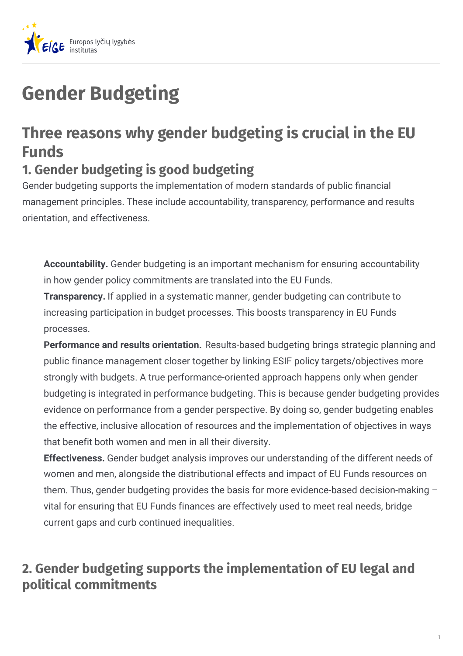

# **Gender Budgeting**

# **Three reasons why gender budgeting is crucial in the EU Funds**

## **1. Gender budgeting is good budgeting**

Gender budgeting supports the implementation of modern standards of public financial management principles. These include accountability, transparency, performance and results orientation, and effectiveness.

**Accountability.** Gender budgeting is an important mechanism for ensuring accountability in how gender policy commitments are translated into the EU Funds.

**Transparency.** If applied in a systematic manner, gender budgeting can contribute to increasing participation in budget processes. This boosts transparency in EU Funds processes.

**Performance and results orientation.** Results-based budgeting brings strategic planning and public finance management closer together by linking ESIF policy targets/objectives more strongly with budgets. A true performance-oriented approach happens only when gender budgeting is integrated in performance budgeting. This is because gender budgeting provides evidence on performance from a gender perspective. By doing so, gender budgeting enables the effective, inclusive allocation of resources and the implementation of objectives in ways that benefit both women and men in all their diversity.

**Effectiveness.** Gender budget analysis improves our understanding of the different needs of women and men, alongside the distributional effects and impact of EU Funds resources on them. Thus, gender budgeting provides the basis for more evidence-based decision-making – vital for ensuring that EU Funds finances are effectively used to meet real needs, bridge current gaps and curb continued inequalities.

### **2. Gender budgeting supports the implementation of EU legal and political commitments**